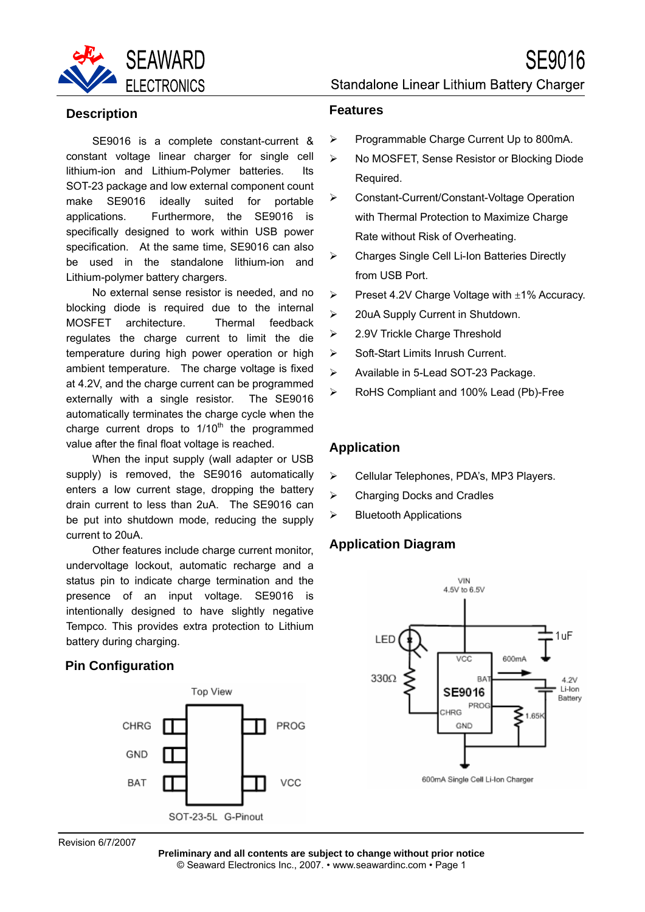

SE9016 is a complete constant-current & constant voltage linear charger for single cell lithium-ion and Lithium-Polymer batteries. Its SOT-23 package and low external component count make SE9016 ideally suited for portable applications. Furthermore, the SE9016 is specifically designed to work within USB power specification. At the same time, SE9016 can also be used in the standalone lithium-ion and Lithium-polymer battery chargers.

No external sense resistor is needed, and no blocking diode is required due to the internal MOSFET architecture. Thermal feedback regulates the charge current to limit the die temperature during high power operation or high ambient temperature. The charge voltage is fixed at 4.2V, and the charge current can be programmed externally with a single resistor. The SE9016 automatically terminates the charge cycle when the charge current drops to  $1/10<sup>th</sup>$  the programmed value after the final float voltage is reached.

When the input supply (wall adapter or USB supply) is removed, the SE9016 automatically enters a low current stage, dropping the battery drain current to less than 2uA. The SE9016 can be put into shutdown mode, reducing the supply current to 20uA.

Other features include charge current monitor, undervoltage lockout, automatic recharge and a status pin to indicate charge termination and the presence of an input voltage. SE9016 is intentionally designed to have slightly negative Tempco. This provides extra protection to Lithium battery during charging.

#### **Pin Configuration**



Standalone Linear Lithium Battery Charger

SE9016

#### **Features**

- ¾ Programmable Charge Current Up to 800mA.
- ¾ No MOSFET, Sense Resistor or Blocking Diode Required.
- ¾ Constant-Current/Constant-Voltage Operation with Thermal Protection to Maximize Charge Rate without Risk of Overheating.
- ¾ Charges Single Cell Li-Ion Batteries Directly from USB Port.
- $\triangleright$  Preset 4.2V Charge Voltage with  $\pm$ 1% Accuracy.
- ¾ 20uA Supply Current in Shutdown.
- ¾ 2.9V Trickle Charge Threshold
- ¾ Soft-Start Limits Inrush Current.
- ¾ Available in 5-Lead SOT-23 Package.
- ¾ RoHS Compliant and 100% Lead (Pb)-Free

#### **Application**

- ¾ Cellular Telephones, PDA's, MP3 Players.
- ¾ Charging Docks and Cradles
- $\triangleright$  Bluetooth Applications

#### **Application Diagram**



Revision 6/7/2007

**Preliminary and all contents are subject to change without prior notice** © Seaward Electronics Inc., 2007. • www.seawardinc.com • Page 1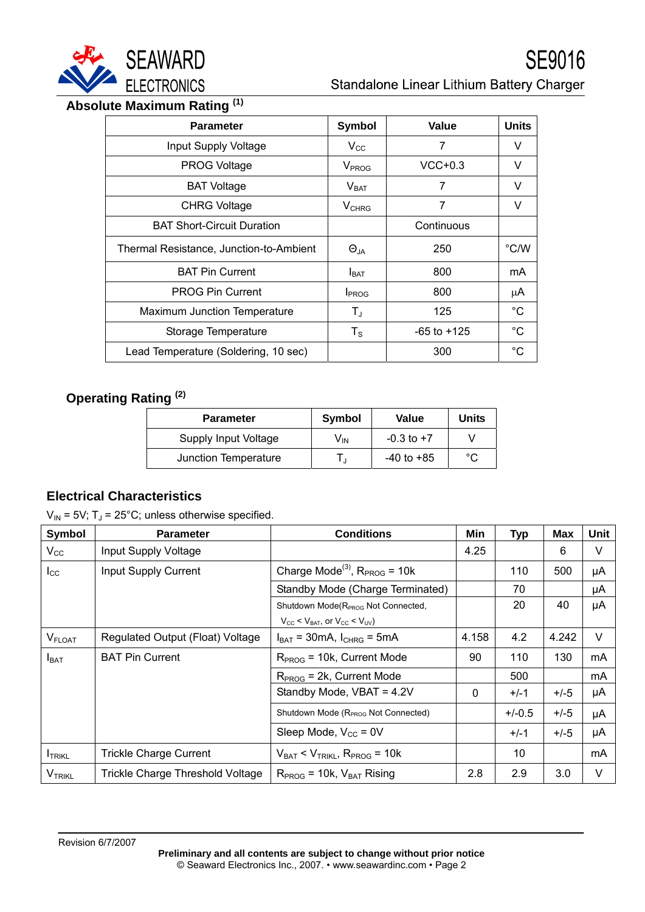

# **Absolute Maximum Rating (1)**

| <b>Parameter</b>                        | <b>Symbol</b>            | Value           | <b>Units</b> |
|-----------------------------------------|--------------------------|-----------------|--------------|
| Input Supply Voltage                    | $V_{\rm CC}$             | 7               | v            |
| <b>PROG Voltage</b>                     | V <sub>PROG</sub>        | $VCC+0.3$       | V            |
| <b>BAT Voltage</b>                      | V <sub>BAT</sub>         | 7               | V            |
| <b>CHRG Voltage</b>                     | $V_{CHRG}$               | 7               | v            |
| <b>BAT Short-Circuit Duration</b>       |                          | Continuous      |              |
| Thermal Resistance, Junction-to-Ambient | $\Theta_{JA}$            | 250             | °C/W         |
| <b>BAT Pin Current</b>                  | $I_{\text{BAT}}$         | 800             | mA           |
| <b>PROG Pin Current</b>                 | <b>I</b> <sub>PROG</sub> | 800             | μA           |
| Maximum Junction Temperature            | T,                       | 125             | $^{\circ}C$  |
| Storage Temperature                     | $T_{\rm S}$              | $-65$ to $+125$ | $^{\circ}C$  |
| Lead Temperature (Soldering, 10 sec)    |                          | 300             | $^{\circ}C$  |

# **Operating Rating (2)**

| <b>Parameter</b>     | Symbol | Value          | <b>Units</b> |
|----------------------|--------|----------------|--------------|
| Supply Input Voltage | Vın    | $-0.3$ to $+7$ |              |
| Junction Temperature |        | $-40$ to $+85$ | °C           |

### **Electrical Characteristics**

 $V_{IN}$  = 5V; T<sub>J</sub> = 25°C; unless otherwise specified.

| Symbol         | <b>Parameter</b>                 | <b>Conditions</b>                                               | Min          | <b>Typ</b> | <b>Max</b> | Unit |
|----------------|----------------------------------|-----------------------------------------------------------------|--------------|------------|------------|------|
| $V_{\rm CC}$   | Input Supply Voltage             |                                                                 | 4.25         |            | 6          | V    |
| $I_{\rm CC}$   | Input Supply Current             | Charge Mode <sup>(3)</sup> , $R_{PROG}$ = 10k                   |              | 110        | 500        | μA   |
|                |                                  | Standby Mode (Charge Terminated)                                |              | 70         |            | μA   |
|                |                                  | Shutdown Mode(R <sub>PROG</sub> Not Connected,                  |              | 20         | 40         | μA   |
|                |                                  | $V_{\rm CC}$ < $V_{\rm BAT}$ , or $V_{\rm CC}$ < $V_{\rm UV}$ ) |              |            |            |      |
| <b>V</b> FLOAT | Regulated Output (Float) Voltage | $I_{BAT}$ = 30mA, $I_{CHRG}$ = 5mA                              | 4.158        | 4.2        | 4.242      | V    |
| $I_{BAT}$      | <b>BAT Pin Current</b>           | $RPROG = 10k$ , Current Mode                                    | 90           | 110        | 130        | mA   |
|                |                                  | $RPROG = 2k$ , Current Mode                                     |              | 500        |            | mA   |
|                |                                  | Standby Mode, VBAT = 4.2V                                       | $\mathbf{0}$ | $+/-1$     | $+/-5$     | μA   |
|                |                                  | Shutdown Mode (R <sub>PROG</sub> Not Connected)                 |              | $+/-0.5$   | $+/-5$     | μA   |
|                |                                  | Sleep Mode, $V_{CC}$ = 0V                                       |              | $+/-1$     | $+/-5$     | μA   |
| <b>I</b> TRIKL | <b>Trickle Charge Current</b>    | $V_{BAT}$ < $V_{TRIKL}$ , $R_{PROG}$ = 10k                      |              | 10         |            | mA   |
| <b>VTRIKL</b>  | Trickle Charge Threshold Voltage | $RPROG$ = 10k, $VBAT$ Rising                                    | 2.8          | 2.9        | 3.0        | V    |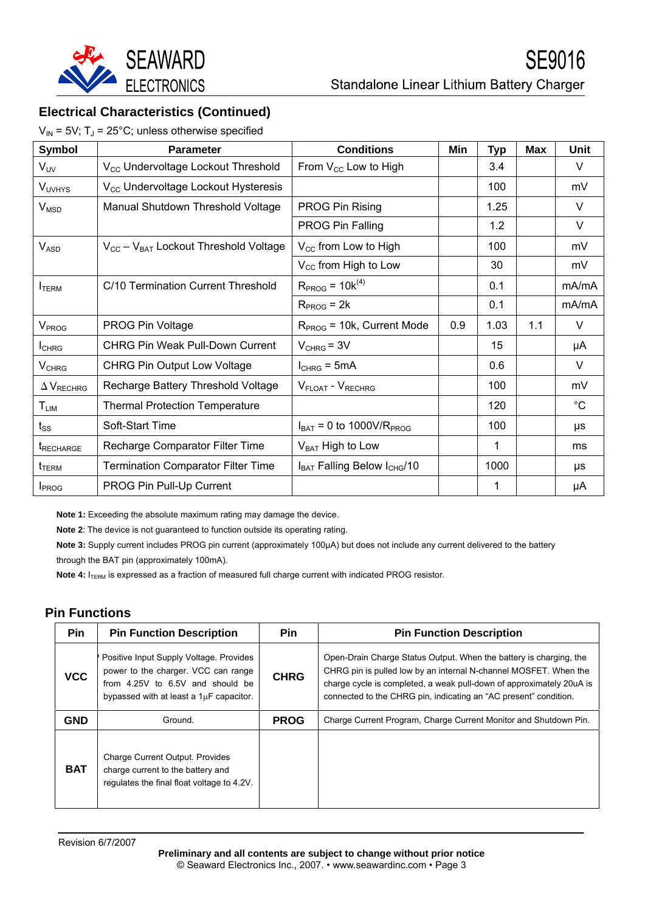

### **Electrical Characteristics (Continued)**

 $V_{IN}$  = 5V; T<sub>J</sub> = 25°C; unless otherwise specified

| <b>Symbol</b>                    | <b>Parameter</b>                                | <b>Conditions</b>                        | Min | <b>Typ</b> | <b>Max</b> | Unit        |
|----------------------------------|-------------------------------------------------|------------------------------------------|-----|------------|------------|-------------|
| $V_{UV}$                         | V <sub>CC</sub> Undervoltage Lockout Threshold  | From $V_{CC}$ Low to High                |     | 3.4        |            | V           |
| <b>VUVHYS</b>                    | V <sub>CC</sub> Undervoltage Lockout Hysteresis |                                          |     | 100        |            | mV          |
| $V_{\text{MSD}}$                 | Manual Shutdown Threshold Voltage               | PROG Pin Rising                          |     | 1.25       |            | V           |
|                                  |                                                 | <b>PROG Pin Falling</b>                  |     | 1.2        |            | V           |
| $V_{ASD}$                        | $V_{CC} - V_{BAT}$ Lockout Threshold Voltage    | $V_{\text{CC}}$ from Low to High         |     | 100        |            | mV          |
|                                  |                                                 | $V_{\text{CC}}$ from High to Low         |     | 30         |            | mV          |
| <b>I</b> TERM                    | C/10 Termination Current Threshold              | $R_{PROG} = 10k^{(4)}$                   |     | 0.1        |            | mA/mA       |
|                                  |                                                 | $RPROG = 2k$                             |     | 0.1        |            | mA/mA       |
| V <sub>PROG</sub>                | PROG Pin Voltage                                | $RPROG = 10k$ , Current Mode             | 0.9 | 1.03       | 1.1        | $\vee$      |
| <b>I</b> CHRG                    | <b>CHRG Pin Weak Pull-Down Current</b>          | $V_{CHRG} = 3V$                          |     | 15         |            | μA          |
| $V_{CHRG}$                       | <b>CHRG Pin Output Low Voltage</b>              | $I_{CHRG} = 5mA$                         |     | 0.6        |            | V           |
| $\Delta$ V <sub>RECHRG</sub>     | Recharge Battery Threshold Voltage              | V <sub>FLOAT</sub> - V <sub>RECHRG</sub> |     | 100        |            | mV          |
| $T_{LIM}$                        | <b>Thermal Protection Temperature</b>           |                                          |     | 120        |            | $^{\circ}C$ |
| $t_{SS}$                         | Soft-Start Time                                 | $I_{BAT} = 0$ to 1000V/R <sub>PROG</sub> |     | 100        |            | μs          |
| t <sub>RECHARGE</sub>            | Recharge Comparator Filter Time                 | $V_{BAT}$ High to Low                    |     | 1          |            | ms          |
| $t_{\footnotesize\textsf{TERM}}$ | <b>Termination Comparator Filter Time</b>       | $I_{BAT}$ Falling Below $I_{CHG}/10$     |     | 1000       |            | $\mu s$     |
| I <sub>PROG</sub>                | PROG Pin Pull-Up Current                        |                                          |     | 1          |            | μA          |

**Note 1:** Exceeding the absolute maximum rating may damage the device.

**Note 2**: The device is not guaranteed to function outside its operating rating.

**Note 3:** Supply current includes PROG pin current (approximately 100µA) but does not include any current delivered to the battery through the BAT pin (approximately 100mA).

**Note 4:** I<sub>TERM</sub> is expressed as a fraction of measured full charge current with indicated PROG resistor.

#### **Pin Functions**

| Pin        | <b>Pin Function Description</b>                                                                                                                               | <b>Pin</b>  | <b>Pin Function Description</b>                                                                                                                                                                                                                                                    |
|------------|---------------------------------------------------------------------------------------------------------------------------------------------------------------|-------------|------------------------------------------------------------------------------------------------------------------------------------------------------------------------------------------------------------------------------------------------------------------------------------|
| <b>VCC</b> | Positive Input Supply Voltage. Provides<br>power to the charger. VCC can range<br>from 4.25V to 6.5V and should be<br>bypassed with at least a 1uF capacitor. | <b>CHRG</b> | Open-Drain Charge Status Output. When the battery is charging, the<br>CHRG pin is pulled low by an internal N-channel MOSFET. When the<br>charge cycle is completed, a weak pull-down of approximately 20uA is<br>connected to the CHRG pin, indicating an "AC present" condition. |
| <b>GND</b> | Ground.                                                                                                                                                       | <b>PROG</b> | Charge Current Program, Charge Current Monitor and Shutdown Pin.                                                                                                                                                                                                                   |
| <b>BAT</b> | <b>Charge Current Output. Provides</b><br>charge current to the battery and<br>regulates the final float voltage to 4.2V.                                     |             |                                                                                                                                                                                                                                                                                    |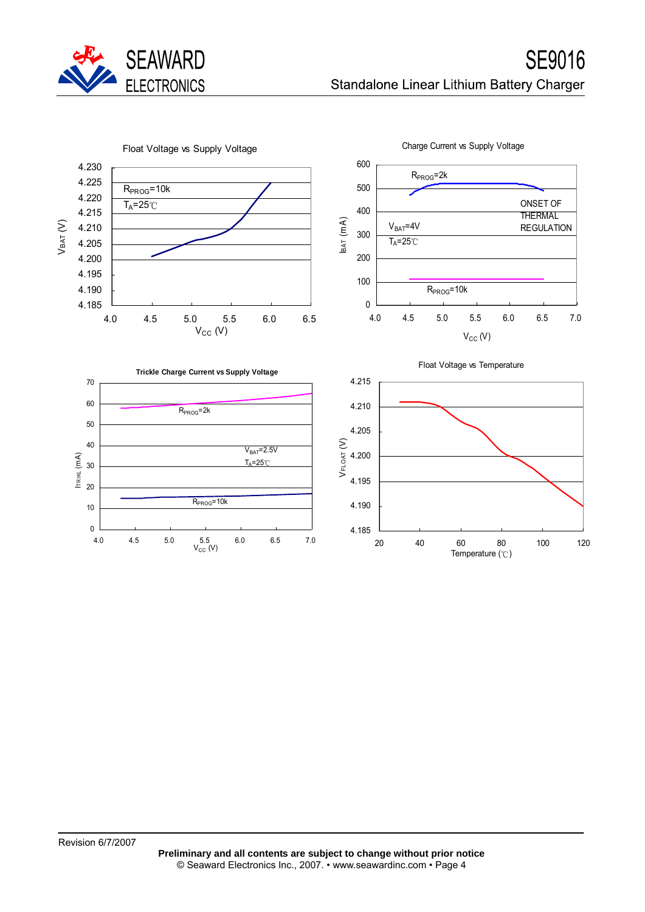

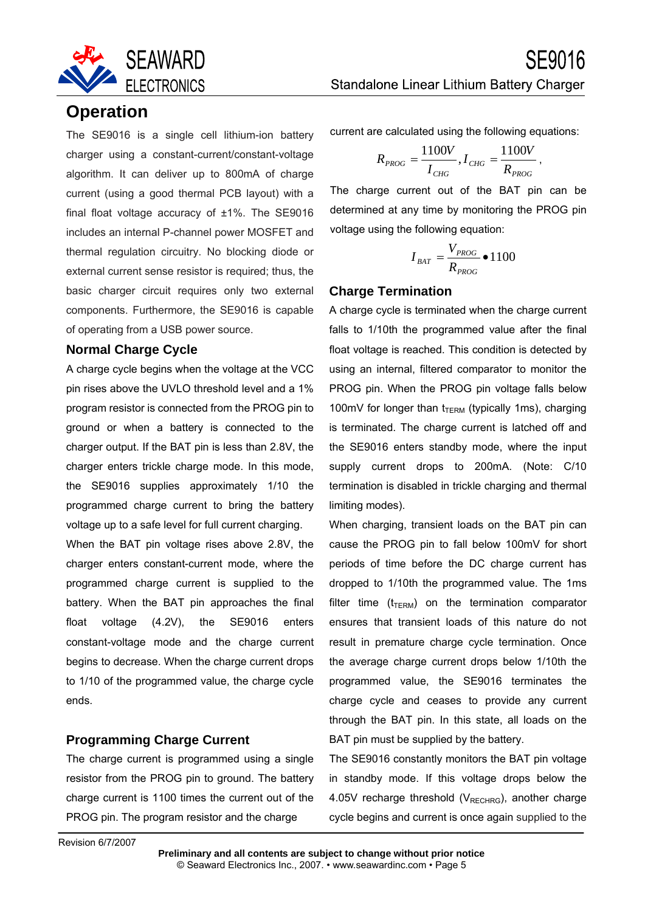

### **Operation**

The SE9016 is a single cell lithium-ion battery charger using a constant-current/constant-voltage algorithm. It can deliver up to 800mA of charge current (using a good thermal PCB layout) with a final float voltage accuracy of ±1%. The SE9016 includes an internal P-channel power MOSFET and thermal regulation circuitry. No blocking diode or external current sense resistor is required; thus, the basic charger circuit requires only two external components. Furthermore, the SE9016 is capable of operating from a USB power source.

#### **Normal Charge Cycle**

A charge cycle begins when the voltage at the VCC pin rises above the UVLO threshold level and a 1% program resistor is connected from the PROG pin to ground or when a battery is connected to the charger output. If the BAT pin is less than 2.8V, the charger enters trickle charge mode. In this mode, the SE9016 supplies approximately 1/10 the programmed charge current to bring the battery voltage up to a safe level for full current charging.

When the BAT pin voltage rises above 2.8V, the charger enters constant-current mode, where the programmed charge current is supplied to the battery. When the BAT pin approaches the final float voltage (4.2V), the SE9016 enters constant-voltage mode and the charge current begins to decrease. When the charge current drops to 1/10 of the programmed value, the charge cycle ends.

#### **Programming Charge Current**

The charge current is programmed using a single resistor from the PROG pin to ground. The battery charge current is 1100 times the current out of the PROG pin. The program resistor and the charge

Standalone Linear Lithium Battery Charger

current are calculated using the following equations:

$$
R_{PROG} = \frac{1100V}{I_{CHG}}, I_{CHG} = \frac{1100V}{R_{PROG}},
$$

The charge current out of the BAT pin can be determined at any time by monitoring the PROG pin voltage using the following equation:

$$
I_{BAT} = \frac{V_{PROG}}{R_{PROG}} \bullet 1100
$$

#### **Charge Termination**

A charge cycle is terminated when the charge current falls to 1/10th the programmed value after the final float voltage is reached. This condition is detected by using an internal, filtered comparator to monitor the PROG pin. When the PROG pin voltage falls below 100mV for longer than  $t_{TERM}$  (typically 1ms), charging is terminated. The charge current is latched off and the SE9016 enters standby mode, where the input supply current drops to 200mA. (Note: C/10 termination is disabled in trickle charging and thermal limiting modes).

When charging, transient loads on the BAT pin can cause the PROG pin to fall below 100mV for short periods of time before the DC charge current has dropped to 1/10th the programmed value. The 1ms filter time  $(t_{\text{TERM}})$  on the termination comparator ensures that transient loads of this nature do not result in premature charge cycle termination. Once the average charge current drops below 1/10th the programmed value, the SE9016 terminates the charge cycle and ceases to provide any current through the BAT pin. In this state, all loads on the BAT pin must be supplied by the battery.

The SE9016 constantly monitors the BAT pin voltage in standby mode. If this voltage drops below the 4.05V recharge threshold ( $V_{RECHRG}$ ), another charge cycle begins and current is once again supplied to the

Revision 6/7/2007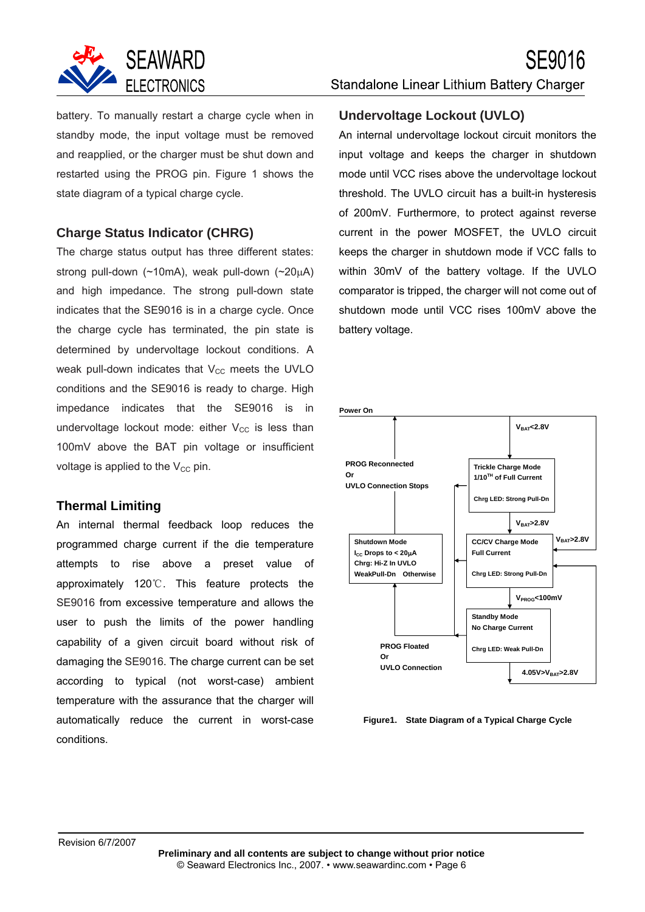

battery. To manually restart a charge cycle when in standby mode, the input voltage must be removed and reapplied, or the charger must be shut down and restarted using the PROG pin. Figure 1 shows the state diagram of a typical charge cycle.

#### **Charge Status Indicator (CHRG)**

The charge status output has three different states: strong pull-down (~10mA), weak pull-down (~20μA) and high impedance. The strong pull-down state indicates that the SE9016 is in a charge cycle. Once the charge cycle has terminated, the pin state is determined by undervoltage lockout conditions. A weak pull-down indicates that  $V_{CC}$  meets the UVLO conditions and the SE9016 is ready to charge. High impedance indicates that the SE9016 is in undervoltage lockout mode: either  $V_{CC}$  is less than 100mV above the BAT pin voltage or insufficient voltage is applied to the  $V_{CC}$  pin.

#### **Thermal Limiting**

An internal thermal feedback loop reduces the programmed charge current if the die temperature attempts to rise above a preset value of approximately 120℃. This feature protects the SE9016 from excessive temperature and allows the user to push the limits of the power handling capability of a given circuit board without risk of damaging the SE9016. The charge current can be set according to typical (not worst-case) ambient temperature with the assurance that the charger will automatically reduce the current in worst-case conditions.

# Standalone Linear Lithium Battery Charger

SE9016

#### **Undervoltage Lockout (UVLO)**

An internal undervoltage lockout circuit monitors the input voltage and keeps the charger in shutdown mode until VCC rises above the undervoltage lockout threshold. The UVLO circuit has a built-in hysteresis of 200mV. Furthermore, to protect against reverse current in the power MOSFET, the UVLO circuit keeps the charger in shutdown mode if VCC falls to within 30mV of the battery voltage. If the UVLO comparator is tripped, the charger will not come out of shutdown mode until VCC rises 100mV above the battery voltage.



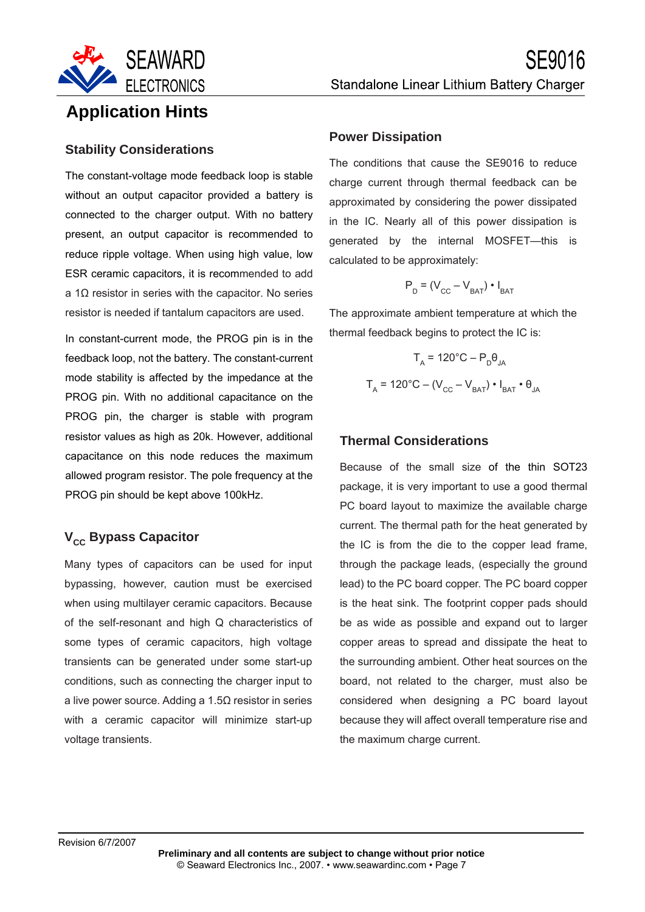

## **Application Hints**

# **Stability Considerations**

The constant-voltage mode feedback loop is stable without an output capacitor provided a battery is connected to the charger output. With no battery present, an output capacitor is recommended to reduce ripple voltage. When using high value, low ESR ceramic capacitors, it is recommended to add a 1Ω resistor in series with the capacitor. No series resistor is needed if tantalum capacitors are used.

In constant-current mode, the PROG pin is in the feedback loop, not the battery. The constant-current mode stability is affected by the impedance at the PROG pin. With no additional capacitance on the PROG pin, the charger is stable with program resistor values as high as 20k. However, additional capacitance on this node reduces the maximum allowed program resistor. The pole frequency at the PROG pin should be kept above 100kHz.

### **V<sub>cc</sub> Bypass Capacitor**

Many types of capacitors can be used for input bypassing, however, caution must be exercised when using multilayer ceramic capacitors. Because of the self-resonant and high Q characteristics of some types of ceramic capacitors, high voltage transients can be generated under some start-up conditions, such as connecting the charger input to a live power source. Adding a 1.5Ω resistor in series with a ceramic capacitor will minimize start-up voltage transients.

#### **Power Dissipation**

The conditions that cause the SE9016 to reduce charge current through thermal feedback can be approximated by considering the power dissipated in the IC. Nearly all of this power dissipation is generated by the internal MOSFET—this is calculated to be approximately:

$$
P_D = (V_{CC} - V_{BAT}) \cdot I_{BAT}
$$

The approximate ambient temperature at which the thermal feedback begins to protect the IC is:

$$
T_{A} = 120^{\circ}C - P_{D}\theta_{JA}
$$

$$
T_{A} = 120^{\circ}C - (V_{CC} - V_{BAT}) \cdot I_{BAT} \cdot \theta_{JA}
$$

### **Thermal Considerations**

Because of the small size of the thin SOT23 package, it is very important to use a good thermal PC board layout to maximize the available charge current. The thermal path for the heat generated by the IC is from the die to the copper lead frame, through the package leads, (especially the ground lead) to the PC board copper. The PC board copper is the heat sink. The footprint copper pads should be as wide as possible and expand out to larger copper areas to spread and dissipate the heat to the surrounding ambient. Other heat sources on the board, not related to the charger, must also be considered when designing a PC board layout because they will affect overall temperature rise and the maximum charge current.